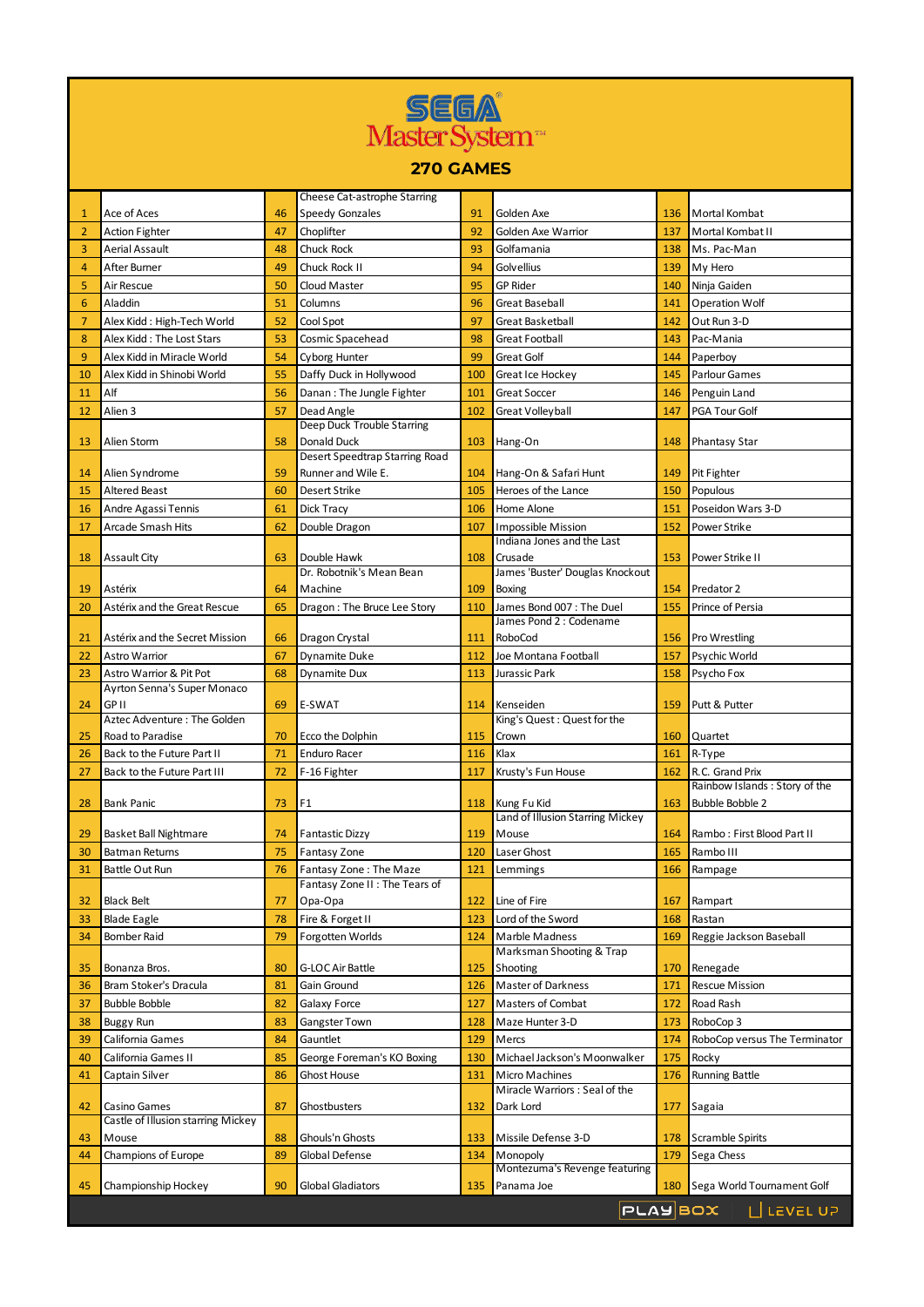| <b>SEEW</b>    |                                                          |          |                                                 |            |                                                  |            |                                                         |  |  |  |  |  |
|----------------|----------------------------------------------------------|----------|-------------------------------------------------|------------|--------------------------------------------------|------------|---------------------------------------------------------|--|--|--|--|--|
| Master System  |                                                          |          |                                                 |            |                                                  |            |                                                         |  |  |  |  |  |
|                |                                                          |          |                                                 |            |                                                  |            |                                                         |  |  |  |  |  |
| 270 GAMES      |                                                          |          |                                                 |            |                                                  |            |                                                         |  |  |  |  |  |
|                |                                                          |          | Cheese Cat-astrophe Starring                    |            |                                                  |            |                                                         |  |  |  |  |  |
| 1              | Ace of Aces                                              | 46       | <b>Speedy Gonzales</b>                          | 91         | Golden Axe                                       | 136        | Mortal Kombat                                           |  |  |  |  |  |
| $\overline{2}$ | <b>Action Fighter</b>                                    | 47       | Choplifter                                      | 92         | Golden Axe Warrior                               | 137        | Mortal Kombat II                                        |  |  |  |  |  |
| 3              | Aerial Assault                                           | 48       | Chuck Rock                                      | 93         | Golfamania                                       | 138        | Ms. Pac-Man                                             |  |  |  |  |  |
| 4              | After Burner                                             | 49       | Chuck Rock II                                   | 94         | Golvellius                                       | 139        | My Hero                                                 |  |  |  |  |  |
| 5              | Air Rescue                                               | 50       | Cloud Master                                    | 95         | <b>GP Rider</b>                                  | 140        | Ninja Gaiden                                            |  |  |  |  |  |
| 6              | Aladdin                                                  | 51       | Columns                                         | 96         | Great Baseball                                   | 141        | Operation Wolf                                          |  |  |  |  |  |
| $\overline{7}$ | Alex Kidd: High-Tech World                               | 52       | Cool Spot                                       | 97         | Great Basketball                                 | 142        | Out Run 3-D                                             |  |  |  |  |  |
| 8<br>9         | Alex Kidd: The Lost Stars                                | 53<br>54 | Cosmic Spacehead                                | 98<br>99   | Great Football                                   | 143        | Pac-Mania                                               |  |  |  |  |  |
| 10             | Alex Kidd in Miracle World<br>Alex Kidd in Shinobi World | 55       | <b>Cyborg Hunter</b><br>Daffy Duck in Hollywood | 100        | Great Golf                                       | 144<br>145 | Paperboy<br>Parlour Games                               |  |  |  |  |  |
| 11             | Alf                                                      | 56       | Danan: The Jungle Fighter                       | 101        | Great Ice Hockey<br>Great Soccer                 | 146        | Penguin Land                                            |  |  |  |  |  |
| 12             | Alien 3                                                  | 57       | Dead Angle                                      | 102        | Great Volleyball                                 | 147        | PGA Tour Golf                                           |  |  |  |  |  |
|                |                                                          |          | Deep Duck Trouble Starring                      |            |                                                  |            |                                                         |  |  |  |  |  |
| 13             | Alien Storm                                              | 58       | Donald Duck                                     | 103        | Hang-On                                          | 148        | <b>Phantasy Star</b>                                    |  |  |  |  |  |
|                |                                                          |          | Desert Speedtrap Starring Road                  |            |                                                  |            |                                                         |  |  |  |  |  |
| 14             | Alien Syndrome                                           | 59       | Runner and Wile E.                              | 104        | Hang-On & Safari Hunt                            | 149        | Pit Fighter                                             |  |  |  |  |  |
| 15             | <b>Altered Beast</b>                                     | 60       | Desert Strike                                   | 105        | Heroes of the Lance                              | 150        | Populous                                                |  |  |  |  |  |
| 16             | Andre Agassi Tennis                                      | 61       | Dick Tracy                                      | 106        | Home Alone                                       | 151        | Poseidon Wars 3-D                                       |  |  |  |  |  |
| 17             | Arcade Smash Hits                                        | 62       | Double Dragon                                   | 107        | Impossible Mission<br>Indiana Jones and the Last | 152        | Power Strike                                            |  |  |  |  |  |
| 18             | <b>Assault City</b>                                      | 63       | Double Hawk                                     | 108        | Crusade                                          | 153        | Power Strike II                                         |  |  |  |  |  |
|                |                                                          |          | Dr. Robotnik's Mean Bean                        |            | James 'Buster' Douglas Knockout                  |            |                                                         |  |  |  |  |  |
| 19             | Astérix                                                  | 64       | Machine                                         | 109        | <b>Boxing</b>                                    | 154        | Predator 2                                              |  |  |  |  |  |
| 20             | Astérix and the Great Rescue                             | 65       | Dragon: The Bruce Lee Story                     | 110        | James Bond 007: The Duel                         | 155        | Prince of Persia                                        |  |  |  |  |  |
|                |                                                          |          |                                                 |            | James Pond 2 : Codename                          |            |                                                         |  |  |  |  |  |
| 21             | Astérix and the Secret Mission                           | 66       | Dragon Crystal                                  | 111        | RoboCod                                          | 156        | Pro Wrestling                                           |  |  |  |  |  |
| 22             | Astro Warrior<br>Astro Warrior & Pit Pot                 | 67<br>68 | <b>Dynamite Duke</b>                            | 112<br>113 | Joe Montana Football<br>Jurassic Park            | 157<br>158 | Psychic World                                           |  |  |  |  |  |
| 23             | Ayrton Senna's Super Monaco                              |          | Dynamite Dux                                    |            |                                                  |            | Psycho Fox                                              |  |  |  |  |  |
| 24             | GP II                                                    | 69       | E-SWAT                                          | 114        | Kenseiden                                        | 159        | Putt & Putter                                           |  |  |  |  |  |
|                | Aztec Adventure: The Golden                              |          |                                                 |            | King's Quest: Quest for the                      |            |                                                         |  |  |  |  |  |
| 25             | Road to Paradise                                         | 70       | Ecco the Dolphin                                | 115        | Crown                                            | 160        | Quartet                                                 |  |  |  |  |  |
| 26             | Back to the Future Part II                               | 71       | Enduro Racer                                    | 116        | Klax                                             | 161        | R-Type                                                  |  |  |  |  |  |
| 27             | Back to the Future Part III                              | 72       | F-16 Fighter                                    | 117        | Krusty's Fun House                               | 162        | R.C. Grand Prix                                         |  |  |  |  |  |
| 28             | Bank Panic                                               | 73       | F1                                              | 118        | Kung Fu Kid                                      | 163        | Rainbow Islands: Story of the<br><b>Bubble Bobble 2</b> |  |  |  |  |  |
|                |                                                          |          |                                                 |            | Land of Illusion Starring Mickey                 |            |                                                         |  |  |  |  |  |
| 29             | Basket Ball Nightmare                                    | 74       | <b>Fantastic Dizzy</b>                          | 119        | Mouse                                            | 164        | Rambo: First Blood Part II                              |  |  |  |  |  |
| 30             | <b>Batman Returns</b>                                    | 75       | Fantasy Zone                                    | 120        | Laser Ghost                                      | 165        | Rambo III                                               |  |  |  |  |  |
| 31             | Battle Out Run                                           | 76       | Fantasy Zone: The Maze                          | 121        | Lemmings                                         | 166        | Rampage                                                 |  |  |  |  |  |
|                |                                                          |          | Fantasy Zone II: The Tears of                   |            |                                                  |            |                                                         |  |  |  |  |  |
| 32             | Black Belt                                               | 77       | Opa-Opa                                         | 122        | Line of Fire                                     | 167        | Rampart                                                 |  |  |  |  |  |
| 33             | <b>Blade Eagle</b>                                       | 78       | Fire & Forget II                                | 123        | Lord of the Sword                                | 168        | Rastan                                                  |  |  |  |  |  |
| 34             | <b>Bomber Raid</b>                                       | 79       | Forgotten Worlds                                | 124        | Marble Madness<br>Marksman Shooting & Trap       | 169        | Reggie Jackson Baseball                                 |  |  |  |  |  |
| 35             | Bonanza Bros.                                            | 80       | G-LOC Air Battle                                | 125        | Shooting                                         | 170        | Renegade                                                |  |  |  |  |  |
| 36             | Bram Stoker's Dracula                                    | 81       | Gain Ground                                     | 126        | <b>Master of Darkness</b>                        | 171        | <b>Rescue Mission</b>                                   |  |  |  |  |  |
| 37             | <b>Bubble Bobble</b>                                     | 82       | Galaxy Force                                    | 127        | Masters of Combat                                | 172        | Road Rash                                               |  |  |  |  |  |
| 38             | <b>Buggy Run</b>                                         | 83       | Gangster Town                                   | 128        | Maze Hunter 3-D                                  | 173        | RoboCop 3                                               |  |  |  |  |  |
| 39             | California Games                                         | 84       | Gauntlet                                        | 129        | Mercs                                            | 174        | RoboCop versus The Terminator                           |  |  |  |  |  |
| 40             | California Games II                                      | 85       | George Foreman's KO Boxing                      | 130        | Michael Jackson's Moonwalker                     | 175        | Rocky                                                   |  |  |  |  |  |
| 41             | Captain Silver                                           | 86       | <b>Ghost House</b>                              | 131        | Micro Machines                                   | 176        | <b>Running Battle</b>                                   |  |  |  |  |  |
|                |                                                          |          |                                                 |            | Miracle Warriors: Seal of the                    |            |                                                         |  |  |  |  |  |
| 42             | Casino Games<br>Castle of Illusion starring Mickey       | 87       | Ghostbusters                                    | 132        | Dark Lord                                        | 177        | Sagaia                                                  |  |  |  |  |  |
| 43             | Mouse                                                    | 88       | Ghouls'n Ghosts                                 | 133        | Missile Defense 3-D                              | 178        | Scramble Spirits                                        |  |  |  |  |  |
| 44             | Champions of Europe                                      | 89       | <b>Global Defense</b>                           | 134        | Monopoly                                         | 179        | Sega Chess                                              |  |  |  |  |  |
|                |                                                          |          |                                                 |            | Montezuma's Revenge featuring                    |            |                                                         |  |  |  |  |  |
| 45             | Championship Hockey                                      | 90       | Global Gladiators                               | 135        | Panama Joe                                       | 180        | Sega World Tournament Golf                              |  |  |  |  |  |
|                |                                                          |          |                                                 |            |                                                  |            | L LEVEL UP<br><b>PLAYBOX</b>                            |  |  |  |  |  |
|                |                                                          |          |                                                 |            |                                                  |            |                                                         |  |  |  |  |  |

I